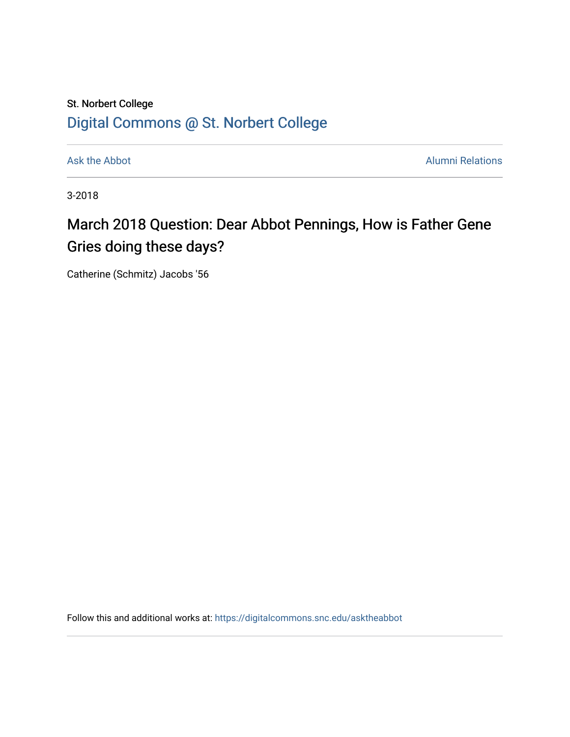## St. Norbert College [Digital Commons @ St. Norbert College](https://digitalcommons.snc.edu/)

[Ask the Abbot](https://digitalcommons.snc.edu/asktheabbot) **Alumni Relations** Alumni Relations

3-2018

## March 2018 Question: Dear Abbot Pennings, How is Father Gene Gries doing these days?

Catherine (Schmitz) Jacobs '56

Follow this and additional works at: [https://digitalcommons.snc.edu/asktheabbot](https://digitalcommons.snc.edu/asktheabbot?utm_source=digitalcommons.snc.edu%2Fasktheabbot%2F116&utm_medium=PDF&utm_campaign=PDFCoverPages)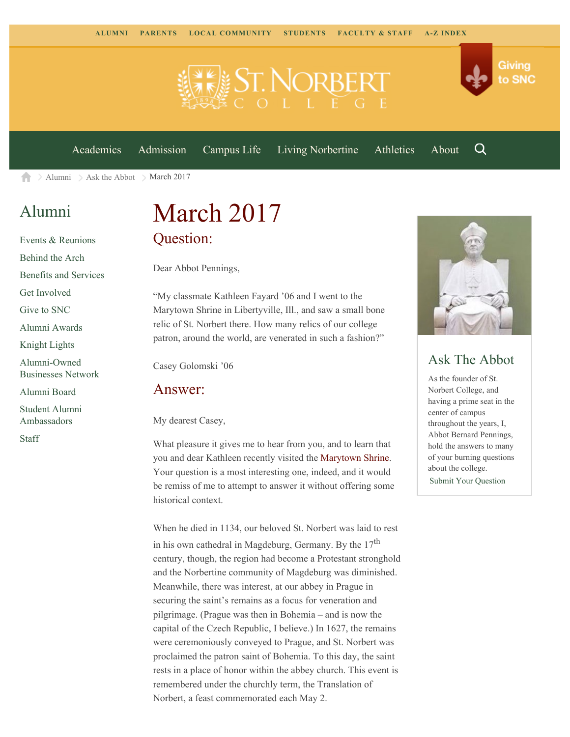

[Academics](https://www.snc.edu/academics) [Admission](https://www.snc.edu/admission) [Campus Life](https://www.snc.edu/campuslife) [Living Norbertine](https://www.snc.edu/livingnorbertine) [Athletics](https://www.snc.edu/athletics) [About](https://www.snc.edu/about)

Q

Giving

to SNC

 $\geq$  [Alumni](https://www.snc.edu/alumni/)  $\geq$  [Ask the Abbot](https://www.snc.edu/alumni/abbot/)  $\geq$  March 2017 合

### [Alumni](https://www.snc.edu/alumni/index.html)

[Events & Reunions](https://www.snc.edu/alumni/event/index.html) [Behind the Arch](https://www.snc.edu/alumni/event/behindthearch/) [Benefits and Services](https://www.snc.edu/alumni/benefits.html) [Get Involved](https://www.snc.edu/alumni/getinvolved.html) [Give to SNC](http://giving.snc.edu/) [Alumni Awards](https://www.snc.edu/alumni/awards/index.html) [Knight Lights](https://www.snc.edu/alumni/knightlights/index.html) [Alumni-Owned](https://www.snc.edu/alumni/directory/index.html) [Businesses Network](https://www.snc.edu/alumni/directory/index.html) [Alumni Board](https://www.snc.edu/alumni/alumniboard.html) [Student Alumni](https://www.snc.edu/alumni/saa.html) [Ambassadors](https://www.snc.edu/alumni/saa.html)

[Staff](https://www.snc.edu/alumni/contactus.html)

# March 2017 Question:

Dear Abbot Pennings,

"My classmate Kathleen Fayard '06 and I went to the Marytown Shrine in Libertyville, Ill., and saw a small bone relic of St. Norbert there. How many relics of our college patron, around the world, are venerated in such a fashion?"

Casey Golomski '06

#### Answer:

My dearest Casey,

What pleasure it gives me to hear from you, and to learn that you and dear Kathleen recently visited the [Marytown Shrine](https://marytown.com/). Your question is a most interesting one, indeed, and it would be remiss of me to attempt to answer it without offering some historical context.

When he died in 1134, our beloved St. Norbert was laid to rest in his own cathedral in Magdeburg, Germany. By the 17<sup>th</sup> century, though, the region had become a Protestant stronghold and the Norbertine community of Magdeburg was diminished. Meanwhile, there was interest, at our abbey in Prague in securing the saint's remains as a focus for veneration and pilgrimage. (Prague was then in Bohemia – and is now the capital of the Czech Republic, I believe.) In 1627, the remains were ceremoniously conveyed to Prague, and St. Norbert was proclaimed the patron saint of Bohemia. To this day, the saint rests in a place of honor within the abbey church. This event is remembered under the churchly term, the Translation of Norbert, a feast commemorated each May 2.



### Ask The Abbot

As the founder of St. Norbert College, and having a prime seat in the center of campus throughout the years, I, Abbot Bernard Pennings, hold the answers to many of your burning questions about the college. [Submit Your Question](https://www.snc.edu/alumni/abbot/index.html)